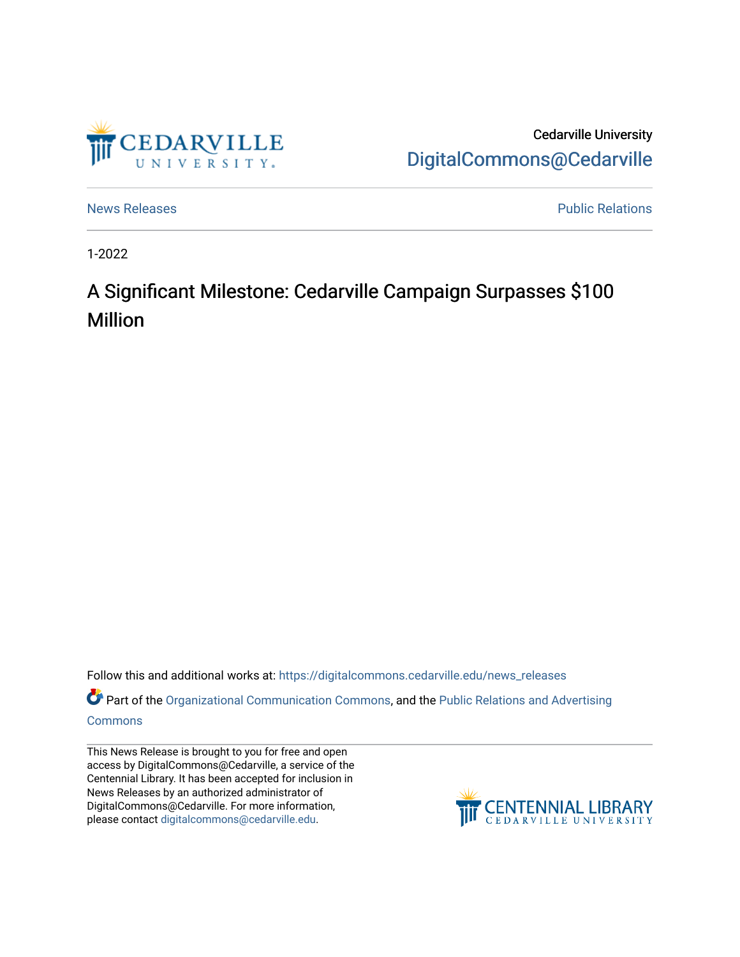

Cedarville University [DigitalCommons@Cedarville](https://digitalcommons.cedarville.edu/) 

[News Releases](https://digitalcommons.cedarville.edu/news_releases) **Public Relations Public Relations** 

1-2022

## A Significant Milestone: Cedarville Campaign Surpasses \$100 Million

Follow this and additional works at: [https://digitalcommons.cedarville.edu/news\\_releases](https://digitalcommons.cedarville.edu/news_releases?utm_source=digitalcommons.cedarville.edu%2Fnews_releases%2F1482&utm_medium=PDF&utm_campaign=PDFCoverPages) 

Part of the [Organizational Communication Commons](http://network.bepress.com/hgg/discipline/335?utm_source=digitalcommons.cedarville.edu%2Fnews_releases%2F1482&utm_medium=PDF&utm_campaign=PDFCoverPages), and the [Public Relations and Advertising](http://network.bepress.com/hgg/discipline/336?utm_source=digitalcommons.cedarville.edu%2Fnews_releases%2F1482&utm_medium=PDF&utm_campaign=PDFCoverPages)  [Commons](http://network.bepress.com/hgg/discipline/336?utm_source=digitalcommons.cedarville.edu%2Fnews_releases%2F1482&utm_medium=PDF&utm_campaign=PDFCoverPages)

This News Release is brought to you for free and open access by DigitalCommons@Cedarville, a service of the Centennial Library. It has been accepted for inclusion in News Releases by an authorized administrator of DigitalCommons@Cedarville. For more information, please contact [digitalcommons@cedarville.edu](mailto:digitalcommons@cedarville.edu).

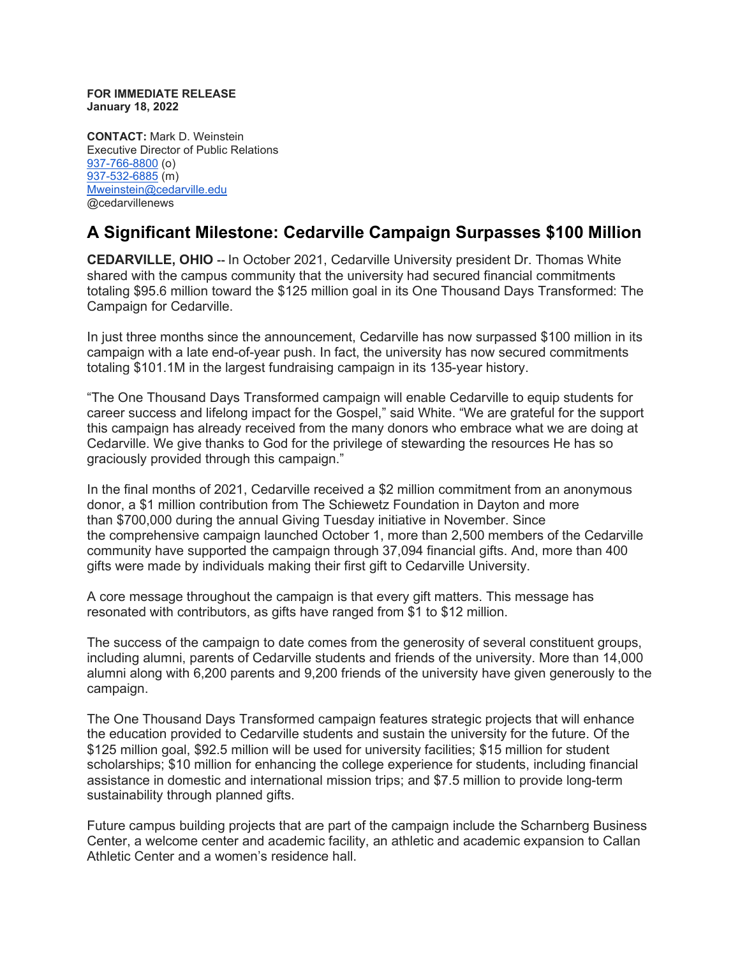**FOR IMMEDIATE RELEASE January 18, 2022**

**CONTACT:** Mark D. Weinstein Executive Director of Public Relations [937-766-8800](tel:937-766-8800) (o) [937-532-6885](tel:937-532-6885) (m) [Mweinstein@cedarville.edu](mailto:Mweinstein@cedarville.edu) @cedarvillenews

## **A Significant Milestone: Cedarville Campaign Surpasses \$100 Million**

**CEDARVILLE, OHIO --** In October 2021, Cedarville University president Dr. Thomas White shared with the campus community that the university had secured financial commitments totaling \$95.6 million toward the \$125 million goal in its One Thousand Days Transformed: The Campaign for Cedarville.

In just three months since the announcement, Cedarville has now surpassed \$100 million in its campaign with a late end-of-year push. In fact, the university has now secured commitments totaling \$101.1M in the largest fundraising campaign in its 135-year history.

"The One Thousand Days Transformed campaign will enable Cedarville to equip students for career success and lifelong impact for the Gospel," said White. "We are grateful for the support this campaign has already received from the many donors who embrace what we are doing at Cedarville. We give thanks to God for the privilege of stewarding the resources He has so graciously provided through this campaign."

In the final months of 2021, Cedarville received a \$2 million commitment from an anonymous donor, a \$1 million contribution from The Schiewetz Foundation in Dayton and more than \$700,000 during the annual Giving Tuesday initiative in November. Since the comprehensive campaign launched October 1, more than 2,500 members of the Cedarville community have supported the campaign through 37,094 financial gifts. And, more than 400 gifts were made by individuals making their first gift to Cedarville University.

A core message throughout the campaign is that every gift matters. This message has resonated with contributors, as gifts have ranged from \$1 to \$12 million.

The success of the campaign to date comes from the generosity of several constituent groups, including alumni, parents of Cedarville students and friends of the university. More than 14,000 alumni along with 6,200 parents and 9,200 friends of the university have given generously to the campaign.

The One Thousand Days Transformed campaign features strategic projects that will enhance the education provided to Cedarville students and sustain the university for the future. Of the \$125 million goal, \$92.5 million will be used for university facilities; \$15 million for student scholarships; \$10 million for enhancing the college experience for students, including financial assistance in domestic and international mission trips; and \$7.5 million to provide long-term sustainability through planned gifts.

Future campus building projects that are part of the campaign include the Scharnberg Business Center, a welcome center and academic facility, an athletic and academic expansion to Callan Athletic Center and a women's residence hall.